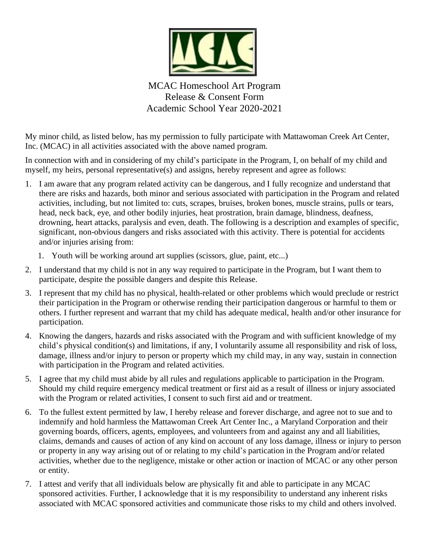

MCAC Homeschool Art Program Release & Consent Form Academic School Year 2020-2021

My minor child, as listed below, has my permission to fully participate with Mattawoman Creek Art Center, Inc. (MCAC) in all activities associated with the above named program.

In connection with and in considering of my child's participate in the Program, I, on behalf of my child and myself, my heirs, personal representative(s) and assigns, hereby represent and agree as follows:

- 1. I am aware that any program related activity can be dangerous, and I fully recognize and understand that there are risks and hazards, both minor and serious associated with participation in the Program and related activities, including, but not limited to: cuts, scrapes, bruises, broken bones, muscle strains, pulls or tears, head, neck back, eye, and other bodily injuries, heat prostration, brain damage, blindness, deafness, drowning, heart attacks, paralysis and even, death. The following is a description and examples of specific, significant, non-obvious dangers and risks associated with this activity. There is potential for accidents and/or injuries arising from:
	- 1. Youth will be working around art supplies (scissors, glue, paint, etc...)
- 2. I understand that my child is not in any way required to participate in the Program, but I want them to participate, despite the possible dangers and despite this Release.
- 3. I represent that my child has no physical, health-related or other problems which would preclude or restrict their participation in the Program or otherwise rending their participation dangerous or harmful to them or others. I further represent and warrant that my child has adequate medical, health and/or other insurance for participation.
- 4. Knowing the dangers, hazards and risks associated with the Program and with sufficient knowledge of my child's physical condition(s) and limitations, if any, I voluntarily assume all responsibility and risk of loss, damage, illness and/or injury to person or property which my child may, in any way, sustain in connection with participation in the Program and related activities.
- 5. I agree that my child must abide by all rules and regulations applicable to participation in the Program. Should my child require emergency medical treatment or first aid as a result of illness or injury associated with the Program or related activities, I consent to such first aid and or treatment.
- 6. To the fullest extent permitted by law, I hereby release and forever discharge, and agree not to sue and to indemnify and hold harmless the Mattawoman Creek Art Center Inc., a Maryland Corporation and their governing boards, officers, agents, employees, and volunteers from and against any and all liabilities, claims, demands and causes of action of any kind on account of any loss damage, illness or injury to person or property in any way arising out of or relating to my child's partication in the Program and/or related activities, whether due to the negligence, mistake or other action or inaction of MCAC or any other person or entity.
- 7. I attest and verify that all individuals below are physically fit and able to participate in any MCAC sponsored activities. Further, I acknowledge that it is my responsibility to understand any inherent risks associated with MCAC sponsored activities and communicate those risks to my child and others involved.